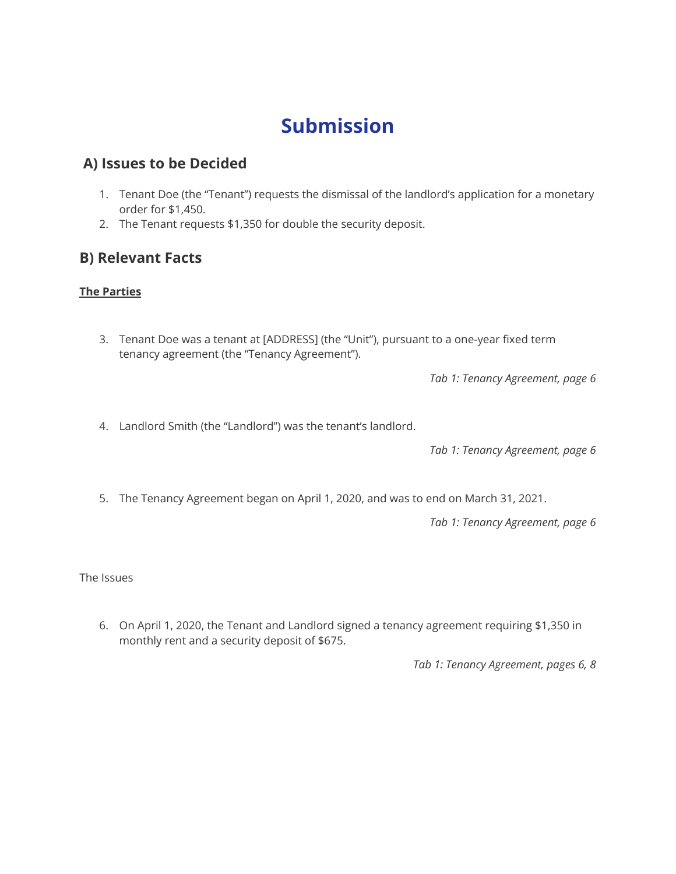# **Submission**

### **A) Issues to be Decided**

- 1. Tenant Doe (the "Tenant") requests the dismissal of the landlord's application for a monetary order for \$1,450.
- 2. The Tenant requests \$1,350 for double the security deposit.

### **B) Relevant Facts**

#### **The Parties**

3. Tenant Doe was a tenant at [ADDRESS] (the "Unit"), pursuant to a one-year fixed term tenancy agreement (the "Tenancy Agreement").

*Tab 1: Tenancy Agreement, page 6*

4. Landlord Smith (the "Landlord") was the tenant's landlord.

*Tab 1: Tenancy Agreement, page 6*

5. The Tenancy Agreement began on April 1, 2020, and was to end on March 31, 2021.

*Tab 1: Tenancy Agreement, page 6*

The Issues

6. On April 1, 2020, the Tenant and Landlord signed a tenancy agreement requiring \$1,350 in monthly rent and a security deposit of \$675.

*Tab 1: Tenancy Agreement, pages 6, 8*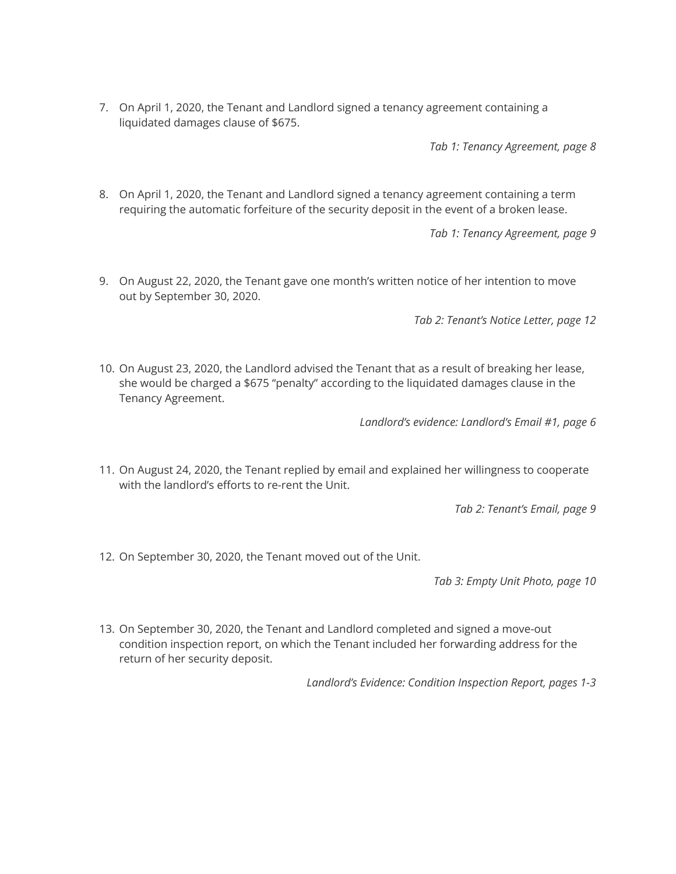7. On April 1, 2020, the Tenant and Landlord signed a tenancy agreement containing a liquidated damages clause of \$675.

*Tab 1: Tenancy Agreement, page 8*

8. On April 1, 2020, the Tenant and Landlord signed a tenancy agreement containing a term requiring the automatic forfeiture of the security deposit in the event of a broken lease.

*Tab 1: Tenancy Agreement, page 9*

9. On August 22, 2020, the Tenant gave one month's written notice of her intention to move out by September 30, 2020.

*Tab 2: Tenant's Notice Letter, page 12*

10. On August 23, 2020, the Landlord advised the Tenant that as a result of breaking her lease, she would be charged a \$675 "penalty" according to the liquidated damages clause in the Tenancy Agreement.

*Landlord's evidence: Landlord's Email #1, page 6*

11. On August 24, 2020, the Tenant replied by email and explained her willingness to cooperate with the landlord's efforts to re-rent the Unit.

*Tab 2: Tenant's Email, page 9*

12. On September 30, 2020, the Tenant moved out of the Unit.

*Tab 3: Empty Unit Photo, page 10*

13. On September 30, 2020, the Tenant and Landlord completed and signed a move-out condition inspection report, on which the Tenant included her forwarding address for the return of her security deposit.

*Landlord's Evidence: Condition Inspection Report, pages 1-3*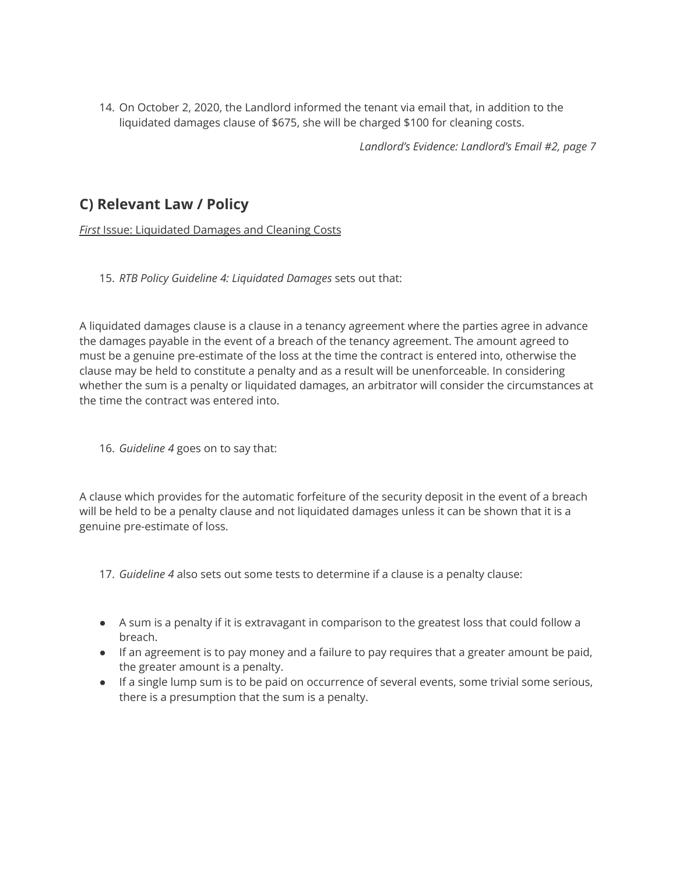14. On October 2, 2020, the Landlord informed the tenant via email that, in addition to the liquidated damages clause of \$675, she will be charged \$100 for cleaning costs.

*Landlord's Evidence: Landlord's Email #2, page 7*

# **C) Relevant Law / Policy**

*First* Issue: Liquidated Damages and Cleaning Costs

15. *RTB Policy Guideline 4: Liquidated Damages* sets out that:

A liquidated damages clause is a clause in a tenancy agreement where the parties agree in advance the damages payable in the event of a breach of the tenancy agreement. The amount agreed to must be a genuine pre-estimate of the loss at the time the contract is entered into, otherwise the clause may be held to constitute a penalty and as a result will be unenforceable. In considering whether the sum is a penalty or liquidated damages, an arbitrator will consider the circumstances at the time the contract was entered into.

16. *Guideline 4* goes on to say that:

A clause which provides for the automatic forfeiture of the security deposit in the event of a breach will be held to be a penalty clause and not liquidated damages unless it can be shown that it is a genuine pre-estimate of loss.

- 17. *Guideline 4* also sets out some tests to determine if a clause is a penalty clause:
- A sum is a penalty if it is extravagant in comparison to the greatest loss that could follow a breach.
- If an agreement is to pay money and a failure to pay requires that a greater amount be paid, the greater amount is a penalty.
- If a single lump sum is to be paid on occurrence of several events, some trivial some serious, there is a presumption that the sum is a penalty.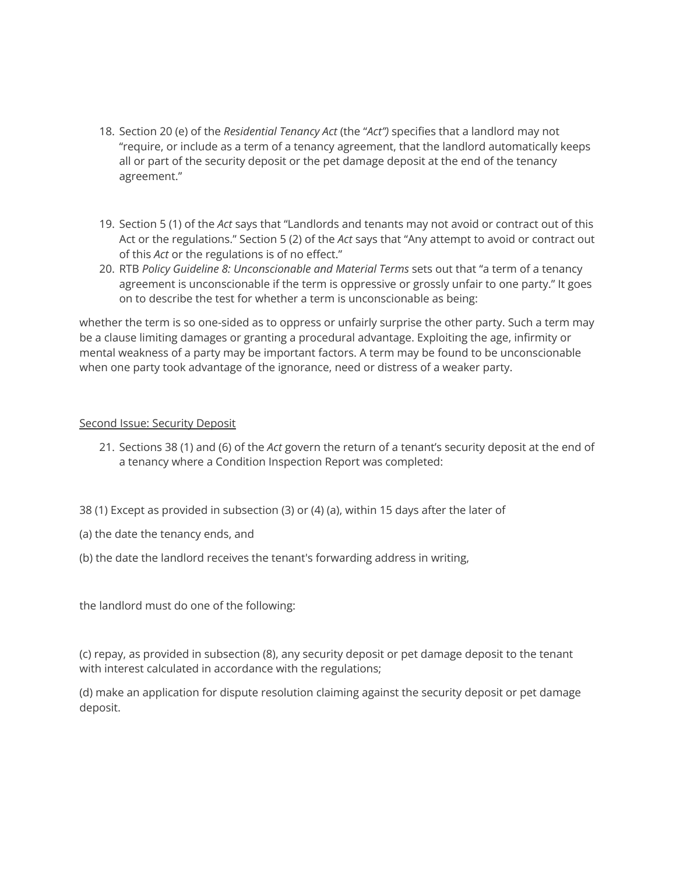- 18. Section 20 (e) of the *Residential Tenancy Act* (the "*Act")* specifies that a landlord may not "require, or include as a term of a tenancy agreement, that the landlord automatically keeps all or part of the security deposit or the pet damage deposit at the end of the tenancy agreement."
- 19. Section 5 (1) of the *Act* says that "Landlords and tenants may not avoid or contract out of this Act or the regulations." Section 5 (2) of the *Act* says that "Any attempt to avoid or contract out of this *Act* or the regulations is of no effect."
- 20. RTB *Policy Guideline 8: Unconscionable and Material Terms* sets out that "a term of a tenancy agreement is unconscionable if the term is oppressive or grossly unfair to one party." It goes on to describe the test for whether a term is unconscionable as being:

whether the term is so one-sided as to oppress or unfairly surprise the other party. Such a term may be a clause limiting damages or granting a procedural advantage. Exploiting the age, infirmity or mental weakness of a party may be important factors. A term may be found to be unconscionable when one party took advantage of the ignorance, need or distress of a weaker party.

#### Second Issue: Security Deposit

- 21. Sections 38 (1) and (6) of the *Act* govern the return of a tenant's security deposit at the end of a tenancy where a Condition Inspection Report was completed:
- 38 (1) Except as provided in subsection (3) or (4) (a), within 15 days after the later of
- (a) the date the tenancy ends, and
- (b) the date the landlord receives the tenant's forwarding address in writing,

the landlord must do one of the following:

(c) repay, as provided in subsection (8), any security deposit or pet damage deposit to the tenant with interest calculated in accordance with the regulations;

(d) make an application for dispute resolution claiming against the security deposit or pet damage deposit.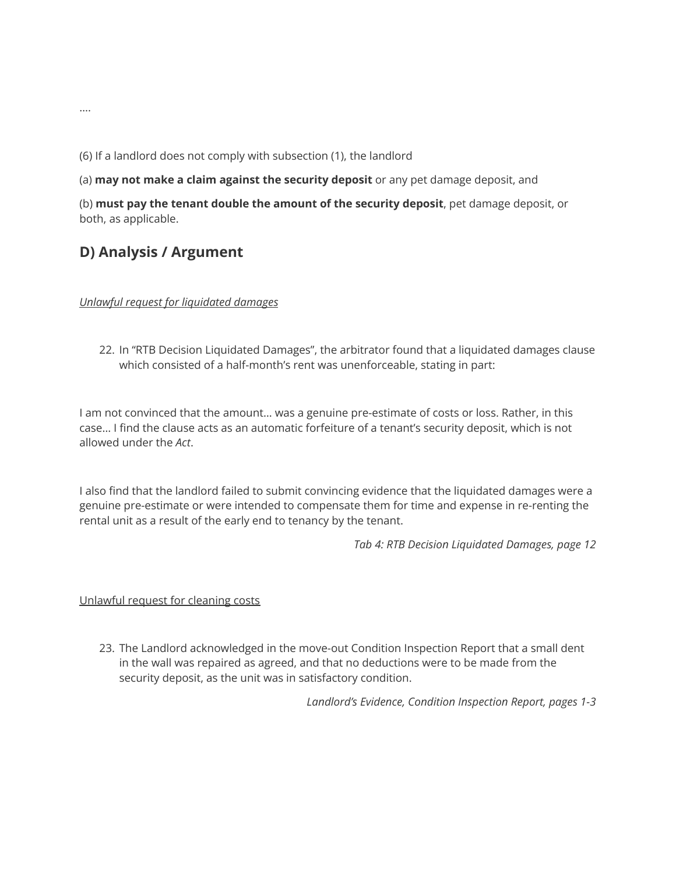(6) If a landlord does not comply with subsection (1), the landlord

(a) **may not make a claim against the security deposit** or any pet damage deposit, and

(b) **must pay the tenant double the amount of the security deposit**, pet damage deposit, or both, as applicable.

### **D) Analysis / Argument**

*Unlawful request for liquidated damages*

22. In "RTB Decision Liquidated Damages", the arbitrator found that a liquidated damages clause which consisted of a half-month's rent was unenforceable, stating in part:

I am not convinced that the amount… was a genuine pre-estimate of costs or loss. Rather, in this case… I find the clause acts as an automatic forfeiture of a tenant's security deposit, which is not allowed under the *Act*.

I also find that the landlord failed to submit convincing evidence that the liquidated damages were a genuine pre-estimate or were intended to compensate them for time and expense in re-renting the rental unit as a result of the early end to tenancy by the tenant.

*Tab 4: RTB Decision Liquidated Damages, page 12*

#### Unlawful request for cleaning costs

23. The Landlord acknowledged in the move-out Condition Inspection Report that a small dent in the wall was repaired as agreed, and that no deductions were to be made from the security deposit, as the unit was in satisfactory condition.

*Landlord's Evidence, Condition Inspection Report, pages 1-3*

….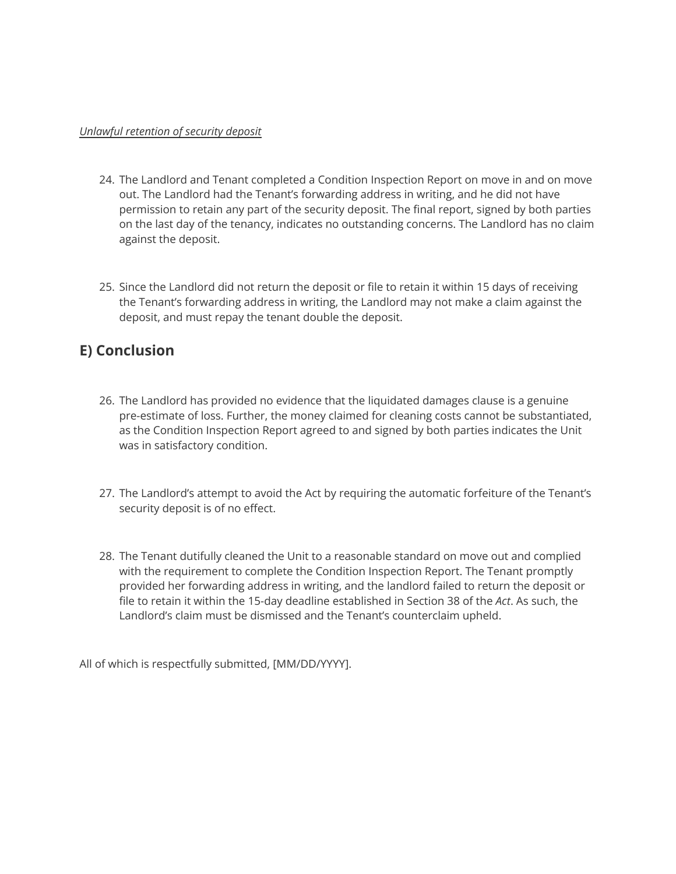#### *Unlawful retention of security deposit*

- 24. The Landlord and Tenant completed a Condition Inspection Report on move in and on move out. The Landlord had the Tenant's forwarding address in writing, and he did not have permission to retain any part of the security deposit. The final report, signed by both parties on the last day of the tenancy, indicates no outstanding concerns. The Landlord has no claim against the deposit.
- 25. Since the Landlord did not return the deposit or file to retain it within 15 days of receiving the Tenant's forwarding address in writing, the Landlord may not make a claim against the deposit, and must repay the tenant double the deposit.

# **E) Conclusion**

- 26. The Landlord has provided no evidence that the liquidated damages clause is a genuine pre-estimate of loss. Further, the money claimed for cleaning costs cannot be substantiated, as the Condition Inspection Report agreed to and signed by both parties indicates the Unit was in satisfactory condition.
- 27. The Landlord's attempt to avoid the Act by requiring the automatic forfeiture of the Tenant's security deposit is of no effect.
- 28. The Tenant dutifully cleaned the Unit to a reasonable standard on move out and complied with the requirement to complete the Condition Inspection Report. The Tenant promptly provided her forwarding address in writing, and the landlord failed to return the deposit or file to retain it within the 15-day deadline established in Section 38 of the *Act*. As such, the Landlord's claim must be dismissed and the Tenant's counterclaim upheld.

All of which is respectfully submitted, [MM/DD/YYYY].